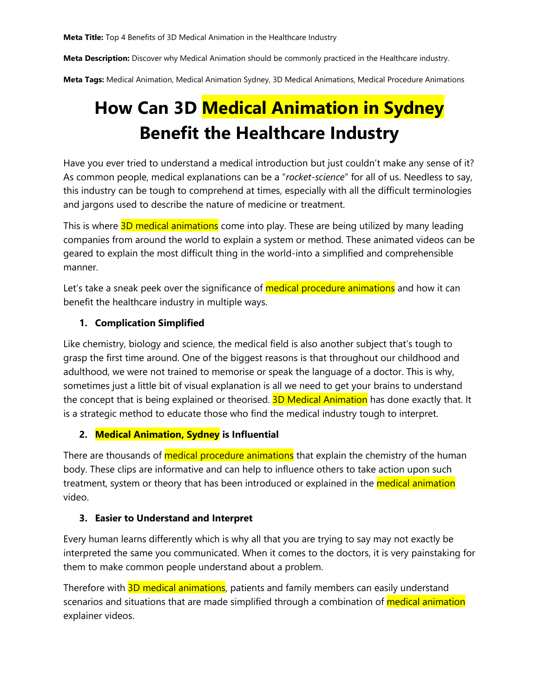**Meta Title:** Top 4 Benefits of 3D Medical Animation in the Healthcare Industry

**Meta Description:** Discover why Medical Animation should be commonly practiced in the Healthcare industry.

**Meta Tags:** Medical Animation, Medical Animation Sydney, 3D Medical Animations, Medical Procedure Animations

# **How Can 3D Medical Animation in Sydney Benefit the Healthcare Industry**

Have you ever tried to understand a medical introduction but just couldn't make any sense of it? As common people, medical explanations can be a "*rocket-science*" for all of us. Needless to say, this industry can be tough to comprehend at times, especially with all the difficult terminologies and jargons used to describe the nature of medicine or treatment.

This is where 3D medical animations come into play. These are being utilized by many leading companies from around the world to explain a system or method. These animated videos can be geared to explain the most difficult thing in the world-into a simplified and comprehensible manner.

Let's take a sneak peek over the significance of **medical procedure animations** and how it can benefit the healthcare industry in multiple ways.

# **1. Complication Simplified**

Like chemistry, biology and science, the medical field is also another subject that's tough to grasp the first time around. One of the biggest reasons is that throughout our childhood and adulthood, we were not trained to memorise or speak the language of a doctor. This is why, sometimes just a little bit of visual explanation is all we need to get your brains to understand the concept that is being explained or theorised. **3D Medical Animation** has done exactly that. It is a strategic method to educate those who find the medical industry tough to interpret.

# **2. Medical Animation, Sydney is Influential**

There are thousands of **medical procedure animations** that explain the chemistry of the human body. These clips are informative and can help to influence others to take action upon such treatment, system or theory that has been introduced or explained in the **medical animation** video.

### **3. Easier to Understand and Interpret**

Every human learns differently which is why all that you are trying to say may not exactly be interpreted the same you communicated. When it comes to the doctors, it is very painstaking for them to make common people understand about a problem.

Therefore with **3D medical animations**, patients and family members can easily understand scenarios and situations that are made simplified through a combination of *medical animation* explainer videos.